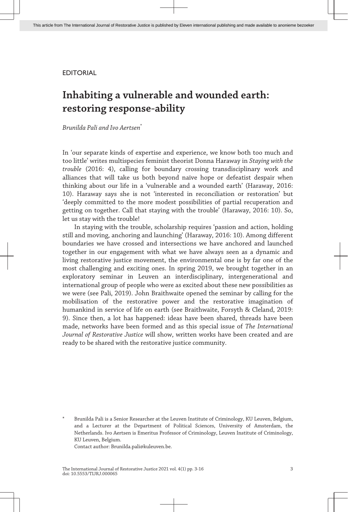# EDITORIAL

# **Inhabiting a vulnerable and wounded earth: restoring response-ability**

*Brunilda Pali and Ivo Aertsen*\*

In 'our separate kinds of expertise and experience, we know both too much and too little' writes multispecies feminist theorist Donna Haraway in *Staying with the trouble* (2016: 4), calling for boundary crossing transdisciplinary work and alliances that will take us both beyond naïve hope or defeatist despair when thinking about our life in a 'vulnerable and a wounded earth' (Haraway, 2016: 10). Haraway says she is not 'interested in reconciliation or restoration' but 'deeply committed to the more modest possibilities of partial recuperation and getting on together. Call that staying with the trouble' (Haraway, 2016: 10). So, let us stay with the trouble!

In staying with the trouble, scholarship requires 'passion and action, holding still and moving, anchoring and launching' (Haraway, 2016: 10). Among different boundaries we have crossed and intersections we have anchored and launched together in our engagement with what we have always seen as a dynamic and living restorative justice movement, the environmental one is by far one of the most challenging and exciting ones. In spring 2019, we brought together in an exploratory seminar in Leuven an interdisciplinary, intergenerational and international group of people who were as excited about these new possibilities as we were (see Pali, 2019). John Braithwaite opened the seminar by calling for the mobilisation of the restorative power and the restorative imagination of humankind in service of life on earth (see Braithwaite, Forsyth & Cleland, 2019: 9). Since then, a lot has happened: ideas have been shared, threads have been made, networks have been formed and as this special issue of *The International Journal of Restorative Justice* will show, written works have been created and are ready to be shared with the restorative justice community.

Contact author: Brunilda.pali@kuleuven.be.

Brunilda Pali is a Senior Researcher at the Leuven Institute of Criminology, KU Leuven, Belgium, and a Lecturer at the Department of Political Sciences, University of Amsterdam, the Netherlands. Ivo Aertsen is Emeritus Professor of Criminology, Leuven Institute of Criminology, KU Leuven, Belgium.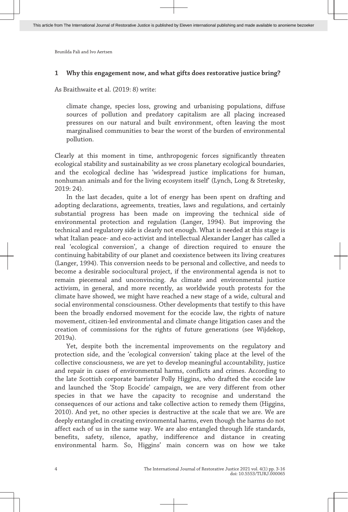# **1 Why this engagement now, and what gifts does restorative justice bring?**

As Braithwaite et al. (2019: 8) write:

climate change, species loss, growing and urbanising populations, diffuse sources of pollution and predatory capitalism are all placing increased pressures on our natural and built environment, often leaving the most marginalised communities to bear the worst of the burden of environmental pollution.

Clearly at this moment in time, anthropogenic forces significantly threaten ecological stability and sustainability as we cross planetary ecological boundaries, and the ecological decline has 'widespread justice implications for human, nonhuman animals and for the living ecosystem itself' (Lynch, Long & Stretesky, 2019: 24).

In the last decades, quite a lot of energy has been spent on drafting and adopting declarations, agreements, treaties, laws and regulations, and certainly substantial progress has been made on improving the technical side of environmental protection and regulation (Langer, 1994). But improving the technical and regulatory side is clearly not enough. What is needed at this stage is what Italian peace- and eco-activist and intellectual Alexander Langer has called a real 'ecological conversion', a change of direction required to ensure the continuing habitability of our planet and coexistence between its living creatures (Langer, 1994). This conversion needs to be personal and collective, and needs to become a desirable sociocultural project, if the environmental agenda is not to remain piecemeal and unconvincing. As climate and environmental justice activism, in general, and more recently, as worldwide youth protests for the climate have showed, we might have reached a new stage of a wide, cultural and social environmental consciousness. Other developments that testify to this have been the broadly endorsed movement for the ecocide law, the rights of nature movement, citizen-led environmental and climate change litigation cases and the creation of commissions for the rights of future generations (see Wijdekop, 2019a).

Yet, despite both the incremental improvements on the regulatory and protection side, and the 'ecological conversion' taking place at the level of the collective consciousness, we are yet to develop meaningful accountability, justice and repair in cases of environmental harms, conflicts and crimes. According to the late Scottish corporate barrister Polly Higgins, who drafted the ecocide law and launched the 'Stop Ecocide' campaign, we are very different from other species in that we have the capacity to recognise and understand the consequences of our actions and take collective action to remedy them (Higgins, 2010). And yet, no other species is destructive at the scale that we are. We are deeply entangled in creating environmental harms, even though the harms do not affect each of us in the same way. We are also entangled through life standards, benefits, safety, silence, apathy, indifference and distance in creating environmental harm. So, Higgins' main concern was on how we take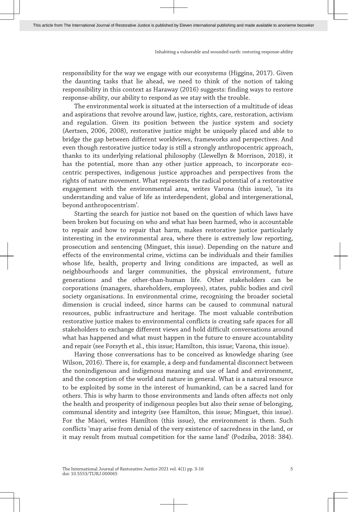responsibility for the way we engage with our ecosystems (Higgins, 2017). Given the daunting tasks that lie ahead, we need to think of the notion of taking responsibility in this context as Haraway (2016) suggests: finding ways to restore response-ability, our ability to respond as we stay with the trouble.

The environmental work is situated at the intersection of a multitude of ideas and aspirations that revolve around law, justice, rights, care, restoration, activism and regulation. Given its position between the justice system and society (Aertsen, 2006, 2008), restorative justice might be uniquely placed and able to bridge the gap between different worldviews, frameworks and perspectives. And even though restorative justice today is still a strongly anthropocentric approach, thanks to its underlying relational philosophy (Llewellyn & Morrison, 2018), it has the potential, more than any other justice approach, to incorporate ecocentric perspectives, indigenous justice approaches and perspectives from the rights of nature movement. What represents the radical potential of a restorative engagement with the environmental area, writes Varona (this issue), 'is its understanding and value of life as interdependent, global and intergenerational, beyond anthropocentrism'.

Starting the search for justice not based on the question of which laws have been broken but focusing on who and what has been harmed, who is accountable to repair and how to repair that harm, makes restorative justice particularly interesting in the environmental area, where there is extremely low reporting, prosecution and sentencing (Minguet, this issue). Depending on the nature and effects of the environmental crime, victims can be individuals and their families whose life, health, property and living conditions are impacted, as well as neighbourhoods and larger communities, the physical environment, future generations and the other-than-human life. Other stakeholders can be corporations (managers, shareholders, employees), states, public bodies and civil society organisations. In environmental crime, recognising the broader societal dimension is crucial indeed, since harms can be caused to communal natural resources, public infrastructure and heritage. The most valuable contribution restorative justice makes to environmental conflicts is creating safe spaces for all stakeholders to exchange different views and hold difficult conversations around what has happened and what must happen in the future to ensure accountability and repair (see Forsyth et al., this issue; Hamilton, this issue; Varona, this issue).

Having those conversations has to be conceived as knowledge sharing (see Wilson, 2016). There is, for example, a deep and fundamental disconnect between the nonindigenous and indigenous meaning and use of land and environment, and the conception of the world and nature in general. What is a natural resource to be exploited by some in the interest of humankind, can be a sacred land for others. This is why harm to those environments and lands often affects not only the health and prosperity of indigenous peoples but also their sense of belonging, communal identity and integrity (see Hamilton, this issue; Minguet, this issue). For the Māori, writes Hamilton (this issue), the environment is them. Such conflicts 'may arise from denial of the very existence of sacredness in the land, or it may result from mutual competition for the same land' (Podziba, 2018: 384).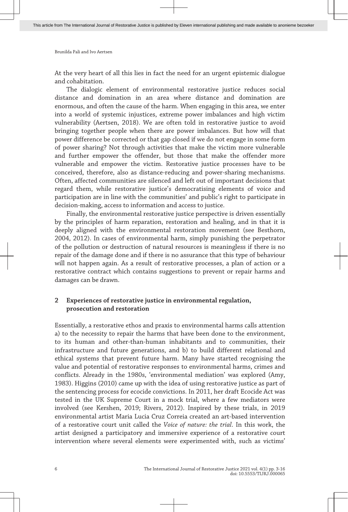At the very heart of all this lies in fact the need for an urgent epistemic dialogue and cohabitation.

The dialogic element of environmental restorative justice reduces social distance and domination in an area where distance and domination are enormous, and often the cause of the harm. When engaging in this area, we enter into a world of systemic injustices, extreme power imbalances and high victim vulnerability (Aertsen, 2018). We are often told in restorative justice to avoid bringing together people when there are power imbalances. But how will that power difference be corrected or that gap closed if we do not engage in some form of power sharing? Not through activities that make the victim more vulnerable and further empower the offender, but those that make the offender more vulnerable and empower the victim. Restorative justice processes have to be conceived, therefore, also as distance-reducing and power-sharing mechanisms. Often, affected communities are silenced and left out of important decisions that regard them, while restorative justice's democratising elements of voice and participation are in line with the communities' and public's right to participate in decision-making, access to information and access to justice.

Finally, the environmental restorative justice perspective is driven essentially by the principles of harm reparation, restoration and healing, and in that it is deeply aligned with the environmental restoration movement (see Besthorn, 2004, 2012). In cases of environmental harm, simply punishing the perpetrator of the pollution or destruction of natural resources is meaningless if there is no repair of the damage done and if there is no assurance that this type of behaviour will not happen again. As a result of restorative processes, a plan of action or a restorative contract which contains suggestions to prevent or repair harms and damages can be drawn.

# **2 Experiences of restorative justice in environmental regulation, prosecution and restoration**

Essentially, a restorative ethos and praxis to environmental harms calls attention a) to the necessity to repair the harms that have been done to the environment, to its human and other-than-human inhabitants and to communities, their infrastructure and future generations, and b) to build different relational and ethical systems that prevent future harm. Many have started recognising the value and potential of restorative responses to environmental harms, crimes and conflicts. Already in the 1980s, 'environmental mediation' was explored (Amy, 1983). Higgins (2010) came up with the idea of using restorative justice as part of the sentencing process for ecocide convictions. In 2011, her draft Ecocide Act was tested in the UK Supreme Court in a mock trial, where a few mediators were involved (see Kershen, 2019; Rivers, 2012). Inspired by these trials, in 2019 environmental artist Maria Lucia Cruz Correia created an art-based intervention of a restorative court unit called the *Voice of nature: the trial*. In this work, the artist designed a participatory and immersive experience of a restorative court intervention where several elements were experimented with, such as victims'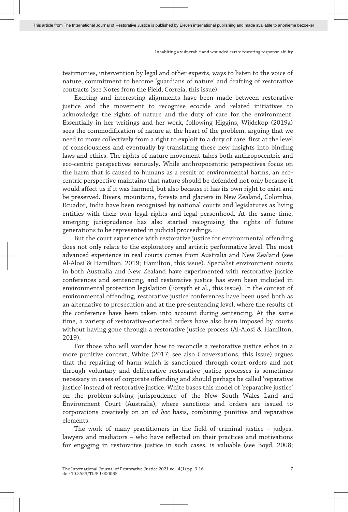testimonies, intervention by legal and other experts, ways to listen to the voice of nature, commitment to become 'guardians of nature' and drafting of restorative contracts (see Notes from the Field, Correia, this issue).

Exciting and interesting alignments have been made between restorative justice and the movement to recognise ecocide and related initiatives to acknowledge the rights of nature and the duty of care for the environment. Essentially in her writings and her work, following Higgins, Wijdekop (2019a) sees the commodification of nature at the heart of the problem, arguing that we need to move collectively from a right to exploit to a duty of care, first at the level of consciousness and eventually by translating these new insights into binding laws and ethics. The rights of nature movement takes both anthropocentric and eco-centric perspectives seriously. While anthropocentric perspectives focus on the harm that is caused to humans as a result of environmental harms, an ecocentric perspective maintains that nature should be defended not only because it would affect us if it was harmed, but also because it has its own right to exist and be preserved. Rivers, mountains, forests and glaciers in New Zealand, Colombia, Ecuador, India have been recognised by national courts and legislatures as living entities with their own legal rights and legal personhood. At the same time, emerging jurisprudence has also started recognising the rights of future generations to be represented in judicial proceedings.

But the court experience with restorative justice for environmental offending does not only relate to the exploratory and artistic performative level. The most advanced experience in real courts comes from Australia and New Zealand (see Al-Alosi & Hamilton, 2019; Hamilton, this issue). Specialist environment courts in both Australia and New Zealand have experimented with restorative justice conferences and sentencing, and restorative justice has even been included in environmental protection legislation (Forsyth et al., this issue). In the context of environmental offending, restorative justice conferences have been used both as an alternative to prosecution and at the pre-sentencing level, where the results of the conference have been taken into account during sentencing. At the same time, a variety of restorative-oriented orders have also been imposed by courts without having gone through a restorative justice process (Al-Alosi & Hamilton, 2019).

For those who will wonder how to reconcile a restorative justice ethos in a more punitive context, White (2017; see also Conversations, this issue) argues that the repairing of harm which is sanctioned through court orders and not through voluntary and deliberative restorative justice processes is sometimes necessary in cases of corporate offending and should perhaps be called 'reparative justice' instead of restorative justice. White bases this model of 'reparative justice' on the problem-solving jurisprudence of the New South Wales Land and Environment Court (Australia), where sanctions and orders are issued to corporations creatively on an *ad hoc* basis, combining punitive and reparative elements.

The work of many practitioners in the field of criminal justice – judges, lawyers and mediators – who have reflected on their practices and motivations for engaging in restorative justice in such cases, is valuable (see Boyd, 2008;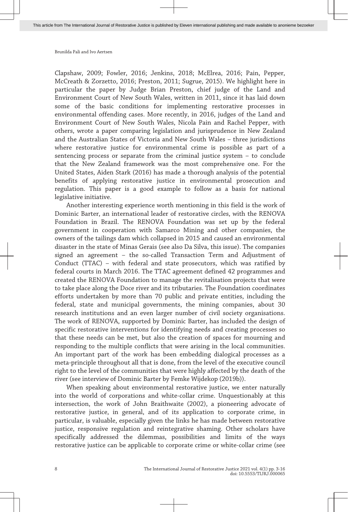Clapshaw, 2009; Fowler, 2016; Jenkins, 2018; McElrea, 2016; Pain, Pepper, McCreath & Zorzetto, 2016; Preston, 2011; Sugrue, 2015). We highlight here in particular the paper by Judge Brian Preston, chief judge of the Land and Environment Court of New South Wales, written in 2011, since it has laid down some of the basic conditions for implementing restorative processes in environmental offending cases. More recently, in 2016, judges of the Land and Environment Court of New South Wales, Nicola Pain and Rachel Pepper, with others, wrote a paper comparing legislation and jurisprudence in New Zealand and the Australian States of Victoria and New South Wales – three jurisdictions where restorative justice for environmental crime is possible as part of a sentencing process or separate from the criminal justice system – to conclude that the New Zealand framework was the most comprehensive one. For the United States, Aiden Stark (2016) has made a thorough analysis of the potential benefits of applying restorative justice in environmental prosecution and regulation. This paper is a good example to follow as a basis for national legislative initiative.

Another interesting experience worth mentioning in this field is the work of Dominic Barter, an international leader of restorative circles, with the RENOVA Foundation in Brazil. The RENOVA Foundation was set up by the federal government in cooperation with Samarco Mining and other companies, the owners of the tailings dam which collapsed in 2015 and caused an environmental disaster in the state of Minas Gerais (see also Da Silva, this issue). The companies signed an agreement – the so-called Transaction Term and Adjustment of Conduct (TTAC) – with federal and state prosecutors, which was ratified by federal courts in March 2016. The TTAC agreement defined 42 programmes and created the RENOVA Foundation to manage the revitalisation projects that were to take place along the Doce river and its tributaries. The Foundation coordinates efforts undertaken by more than 70 public and private entities, including the federal, state and municipal governments, the mining companies, about 30 research institutions and an even larger number of civil society organisations. The work of RENOVA, supported by Dominic Barter, has included the design of specific restorative interventions for identifying needs and creating processes so that these needs can be met, but also the creation of spaces for mourning and responding to the multiple conflicts that were arising in the local communities. An important part of the work has been embedding dialogical processes as a meta-principle throughout all that is done, from the level of the executive council right to the level of the communities that were highly affected by the death of the river (see interview of Dominic Barter by Femke Wijdekop (2019b)).

When speaking about environmental restorative justice, we enter naturally into the world of corporations and white-collar crime. Unquestionably at this intersection, the work of John Braithwaite (2002), a pioneering advocate of restorative justice, in general, and of its application to corporate crime, in particular, is valuable, especially given the links he has made between restorative justice, responsive regulation and reintegrative shaming. Other scholars have specifically addressed the dilemmas, possibilities and limits of the ways restorative justice can be applicable to corporate crime or white-collar crime (see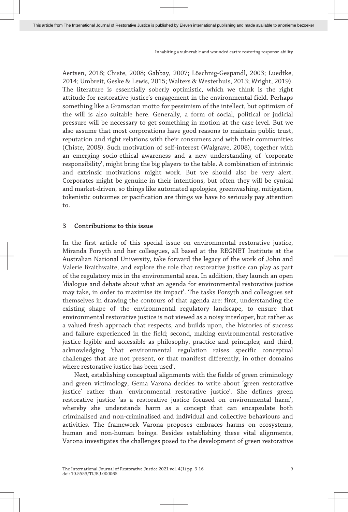Aertsen, 2018; Chiste, 2008; Gabbay, 2007; Löschnig-Gespandl, 2003; Luedtke, 2014; Umbreit, Geske & Lewis, 2015; Walters & Westerhuis, 2013; Wright, 2019). The literature is essentially soberly optimistic, which we think is the right attitude for restorative justice's engagement in the environmental field. Perhaps something like a Gramscian motto for pessimism of the intellect, but optimism of the will is also suitable here. Generally, a form of social, political or judicial pressure will be necessary to get something in motion at the case level. But we also assume that most corporations have good reasons to maintain public trust, reputation and right relations with their consumers and with their communities (Chiste, 2008). Such motivation of self-interest (Walgrave, 2008), together with an emerging socio-ethical awareness and a new understanding of 'corporate responsibility', might bring the big players to the table. A combination of intrinsic and extrinsic motivations might work. But we should also be very alert. Corporates might be genuine in their intentions, but often they will be cynical and market-driven, so things like automated apologies, greenwashing, mitigation, tokenistic outcomes or pacification are things we have to seriously pay attention to.

#### **3 Contributions to this issue**

In the first article of this special issue on environmental restorative justice, Miranda Forsyth and her colleagues, all based at the REGNET Institute at the Australian National University, take forward the legacy of the work of John and Valerie Braithwaite, and explore the role that restorative justice can play as part of the regulatory mix in the environmental area. In addition, they launch an open 'dialogue and debate about what an agenda for environmental restorative justice may take, in order to maximise its impact'. The tasks Forsyth and colleagues set themselves in drawing the contours of that agenda are: first, understanding the existing shape of the environmental regulatory landscape, to ensure that environmental restorative justice is not viewed as a noisy interloper, but rather as a valued fresh approach that respects, and builds upon, the histories of success and failure experienced in the field; second, making environmental restorative justice legible and accessible as philosophy, practice and principles; and third, acknowledging 'that environmental regulation raises specific conceptual challenges that are not present, or that manifest differently, in other domains where restorative justice has been used'.

Next, establishing conceptual alignments with the fields of green criminology and green victimology, Gema Varona decides to write about 'green restorative justice' rather than 'environmental restorative justice'. She defines green restorative justice 'as a restorative justice focused on environmental harm', whereby she understands harm as a concept that can encapsulate both criminalised and non-criminalised and individual and collective behaviours and activities. The framework Varona proposes embraces harms on ecosystems, human and non-human beings. Besides establishing these vital alignments, Varona investigates the challenges posed to the development of green restorative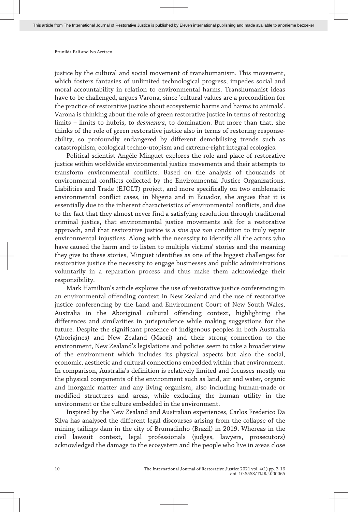justice by the cultural and social movement of transhumanism. This movement, which fosters fantasies of unlimited technological progress, impedes social and moral accountability in relation to environmental harms. Transhumanist ideas have to be challenged, argues Varona, since 'cultural values are a precondition for the practice of restorative justice about ecosystemic harms and harms to animals'. Varona is thinking about the role of green restorative justice in terms of restoring limits – limits to hubris, to *desmesura*, to domination. But more than that, she thinks of the role of green restorative justice also in terms of restoring responseability, so profoundly endangered by different demobilising trends such as catastrophism, ecological techno-utopism and extreme-right integral ecologies.

Political scientist Angèle Minguet explores the role and place of restorative justice within worldwide environmental justice movements and their attempts to transform environmental conflicts. Based on the analysis of thousands of environmental conflicts collected by the Environmental Justice Organizations, Liabilities and Trade (EJOLT) project, and more specifically on two emblematic environmental conflict cases, in Nigeria and in Ecuador, she argues that it is essentially due to the inherent characteristics of environmental conflicts, and due to the fact that they almost never find a satisfying resolution through traditional criminal justice, that environmental justice movements ask for a restorative approach, and that restorative justice is a *sine qua non* condition to truly repair environmental injustices. Along with the necessity to identify all the actors who have caused the harm and to listen to multiple victims' stories and the meaning they give to these stories, Minguet identifies as one of the biggest challenges for restorative justice the necessity to engage businesses and public administrations voluntarily in a reparation process and thus make them acknowledge their responsibility.

Mark Hamilton's article explores the use of restorative justice conferencing in an environmental offending context in New Zealand and the use of restorative justice conferencing by the Land and Environment Court of New South Wales, Australia in the Aboriginal cultural offending context, highlighting the differences and similarities in jurisprudence while making suggestions for the future. Despite the significant presence of indigenous peoples in both Australia (Aborigines) and New Zealand (Māori) and their strong connection to the environment, New Zealand's legislations and policies seem to take a broader view of the environment which includes its physical aspects but also the social, economic, aesthetic and cultural connections embedded within that environment. In comparison, Australia's definition is relatively limited and focusses mostly on the physical components of the environment such as land, air and water, organic and inorganic matter and any living organism, also including human-made or modified structures and areas, while excluding the human utility in the environment or the culture embedded in the environment.

Inspired by the New Zealand and Australian experiences, Carlos Frederico Da Silva has analysed the different legal discourses arising from the collapse of the mining tailings dam in the city of Brumadinho (Brazil) in 2019. Whereas in the civil lawsuit context, legal professionals (judges, lawyers, prosecutors) acknowledged the damage to the ecosystem and the people who live in areas close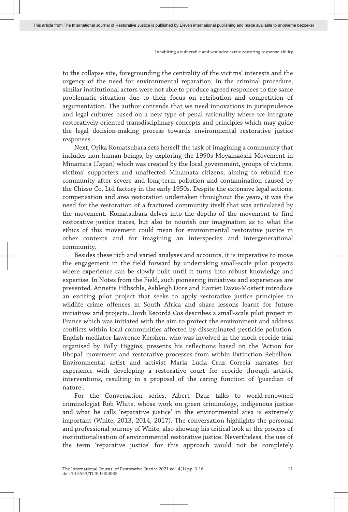to the collapse site, foregrounding the centrality of the victims' interests and the urgency of the need for environmental reparation, in the criminal procedure, similar institutional actors were not able to produce agreed responses to the same problematic situation due to their focus on retribution and competition of argumentation. The author contends that we need innovations in jurisprudence and legal cultures based on a new type of penal rationality where we integrate restoratively oriented transdisciplinary concepts and principles which may guide the legal decision-making process towards environmental restorative justice responses.

Next, Orika Komatsubara sets herself the task of imagining a community that includes non-human beings, by exploring the 1990s Moyainaoshi Movement in Minamata (Japan) which was created by the local government, groups of victims, victims' supporters and unaffected Minamata citizens, aiming to rebuild the community after severe and long-term pollution and contamination caused by the Chisso Co. Ltd factory in the early 1950s. Despite the extensive legal actions, compensation and area restoration undertaken throughout the years, it was the need for the restoration of a fractured community itself that was articulated by the movement. Komatsubara delves into the depths of the movement to find restorative justice traces, but also to nourish our imagination as to what the ethics of this movement could mean for environmental restorative justice in other contexts and for imagining an interspecies and intergenerational community.

Besides these rich and varied analyses and accounts, it is imperative to move the engagement in the field forward by undertaking small-scale pilot projects where experience can be slowly built until it turns into robust knowledge and expertise. In Notes from the Field, such pioneering initiatives and experiences are presented. Annette Hübschle, Ashleigh Dore and Harriet Davis-Mostert introduce an exciting pilot project that seeks to apply restorative justice principles to wildlife crime offences in South Africa and share lessons learnt for future initiatives and projects. Jordi Recordà Cos describes a small-scale pilot project in France which was initiated with the aim to protect the environment and address conflicts within local communities affected by disseminated pesticide pollution. English mediator Lawrence Kershen, who was involved in the mock ecocide trial organised by Polly Higgins, presents his reflections based on the 'Action for Bhopal' movement and restorative processes from within Extinction Rebellion. Environmental artist and activist Maria Lucia Cruz Correia narrates her experience with developing a restorative court for ecocide through artistic interventions, resulting in a proposal of the caring function of 'guardian of nature'.

For the Conversation series, Albert Dzur talks to world-renowned criminologist Rob White, whose work on green criminology, indigenous justice and what he calls 'reparative justice' in the environmental area is extremely important (White, 2013, 2014, 2017). The conversation highlights the personal and professional journey of White, also showing his critical look at the process of institutionalisation of environmental restorative justice. Nevertheless, the use of the term 'reparative justice' for this approach would not be completely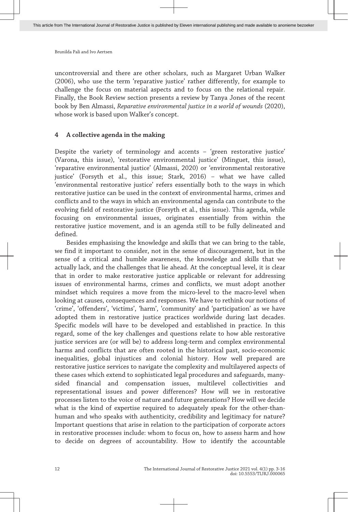uncontroversial and there are other scholars, such as Margaret Urban Walker (2006), who use the term 'reparative justice' rather differently, for example to challenge the focus on material aspects and to focus on the relational repair. Finally, the Book Review section presents a review by Tanya Jones of the recent book by Ben Almassi, *Reparative environmental justice in a world of wounds* (2020), whose work is based upon Walker's concept.

# **4 A collective agenda in the making**

Despite the variety of terminology and accents – 'green restorative justice' (Varona, this issue), 'restorative environmental justice' (Minguet, this issue), 'reparative environmental justice' (Almassi, 2020) or 'environmental restorative justice' (Forsyth et al., this issue; Stark, 2016) – what we have called 'environmental restorative justice' refers essentially both to the ways in which restorative justice can be used in the context of environmental harms, crimes and conflicts and to the ways in which an environmental agenda can contribute to the evolving field of restorative justice (Forsyth et al., this issue). This agenda, while focusing on environmental issues, originates essentially from within the restorative justice movement, and is an agenda still to be fully delineated and defined.

Besides emphasising the knowledge and skills that we can bring to the table, we find it important to consider, not in the sense of discouragement, but in the sense of a critical and humble awareness, the knowledge and skills that we actually lack, and the challenges that lie ahead. At the conceptual level, it is clear that in order to make restorative justice applicable or relevant for addressing issues of environmental harms, crimes and conflicts, we must adopt another mindset which requires a move from the micro-level to the macro-level when looking at causes, consequences and responses. We have to rethink our notions of 'crime', 'offenders', 'victims', 'harm', 'community' and 'participation' as we have adopted them in restorative justice practices worldwide during last decades. Specific models will have to be developed and established in practice. In this regard, some of the key challenges and questions relate to how able restorative justice services are (or will be) to address long-term and complex environmental harms and conflicts that are often rooted in the historical past, socio-economic inequalities, global injustices and colonial history. How well prepared are restorative justice services to navigate the complexity and multilayered aspects of these cases which extend to sophisticated legal procedures and safeguards, manysided financial and compensation issues, multilevel collectivities and representational issues and power differences? How will we in restorative processes listen to the voice of nature and future generations? How will we decide what is the kind of expertise required to adequately speak for the other-thanhuman and who speaks with authenticity, credibility and legitimacy for nature? Important questions that arise in relation to the participation of corporate actors in restorative processes include: whom to focus on, how to assess harm and how to decide on degrees of accountability. How to identify the accountable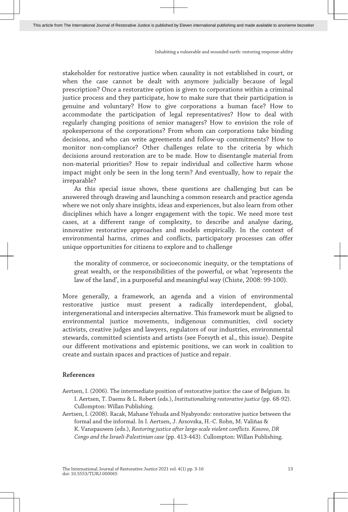stakeholder for restorative justice when causality is not established in court, or when the case cannot be dealt with anymore judicially because of legal prescription? Once a restorative option is given to corporations within a criminal justice process and they participate, how to make sure that their participation is genuine and voluntary? How to give corporations a human face? How to accommodate the participation of legal representatives? How to deal with regularly changing positions of senior managers? How to envision the role of spokespersons of the corporations? From whom can corporations take binding decisions, and who can write agreements and follow-up commitments? How to monitor non-compliance? Other challenges relate to the criteria by which decisions around restoration are to be made. How to disentangle material from non-material priorities? How to repair individual and collective harm whose impact might only be seen in the long term? And eventually, how to repair the irreparable?

As this special issue shows, these questions are challenging but can be answered through drawing and launching a common research and practice agenda where we not only share insights, ideas and experiences, but also learn from other disciplines which have a longer engagement with the topic. We need more test cases, at a different range of complexity, to describe and analyse daring, innovative restorative approaches and models empirically. In the context of environmental harms, crimes and conflicts, participatory processes can offer unique opportunities for citizens to explore and to challenge

the morality of commerce, or socioeconomic inequity, or the temptations of great wealth, or the responsibilities of the powerful, or what 'represents the law of the land', in a purposeful and meaningful way (Chiste, 2008: 99-100).

More generally, a framework, an agenda and a vision of environmental restorative justice must present a radically interdependent, global, intergenerational and interspecies alternative. This framework must be aligned to environmental justice movements, indigenous communities, civil society activists, creative judges and lawyers, regulators of our industries, environmental stewards, committed scientists and artists (see Forsyth et al., this issue). Despite our different motivations and epistemic positions, we can work in coalition to create and sustain spaces and practices of justice and repair.

# **References**

- Aertsen, I. (2006). The intermediate position of restorative justice: the case of Belgium. In I. Aertsen, T. Daems & L. Robert (eds.), *Institutionalizing restorative justice* (pp. 68-92). Cullompton: Willan Publishing.
- Aertsen, I. (2008). Racak, Mahane Yehuda and Nyabyondo: restorative justice between the formal and the informal. In I. Aertsen, J. Arsovska, H.-C. Rohn, M. Valiñas & K. Vanspauwen (eds.), *Restoring justice after large-scale violent conflicts. Kosovo, DR Congo and the Israeli-Palestinian case* (pp. 413-443). Cullompton: Willan Publishing.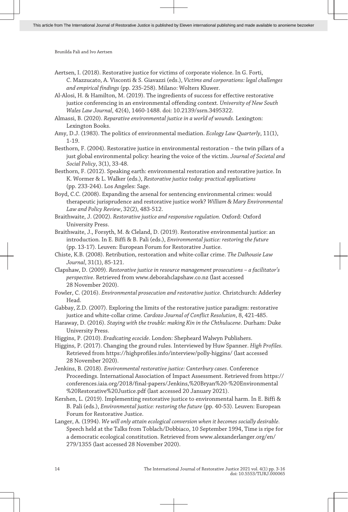Aertsen, I. (2018). Restorative justice for victims of corporate violence. In G. Forti, C. Mazzucato, A. Visconti & S. Giavazzi (eds.), *Victims and corporations: legal challenges and empirical findings* (pp. 235-258). Milano: Wolters Kluwer.

Al-Alosi, H. & Hamilton, M. (2019). The ingredients of success for effective restorative justice conferencing in an environmental offending context. *University of New South Wales Law Journal*, 42(4), 1460-1488. doi: 10.2139/ssrn.3495322.

Almassi, B. (2020). *Reparative environmental justice in a world of wounds.* Lexington: Lexington Books.

Amy, D.J. (1983). The politics of environmental mediation. *Ecology Law Quarterly*, 11(1), 1-19.

Besthorn, F. (2004). Restorative justice in environmental restoration – the twin pillars of a just global environmental policy: hearing the voice of the victim. *Journal of Societal and Social Policy*, 3(1), 33-48.

Besthorn, F. (2012). Speaking earth: environmental restoration and restorative justice. In K. Wormer & L. Walker (eds.), *Restorative justice today: practical applications* (pp. 233-244). Los Angeles: Sage.

Boyd, C.C. (2008). Expanding the arsenal for sentencing environmental crimes: would therapeutic jurisprudence and restorative justice work? *William & Mary Environmental Law and Policy Review*, 32(2), 483-512.

Braithwaite, J. (2002). *Restorative justice and responsive regulation.* Oxford: Oxford University Press.

Braithwaite, J., Forsyth, M. & Cleland, D. (2019). Restorative environmental justice: an introduction. In E. Biffi & B. Pali (eds.), *Environmental justice: restoring the future* (pp. 13-17). Leuven: European Forum for Restorative Justice.

Chiste, K.B. (2008). Retribution, restoration and white-collar crime. *The Dalhousie Law Journal*, 31(1), 85-121.

Clapshaw, D. (2009). *Restorative justice in resource management prosecutions – a facilitator's perspective*. Retrieved from [www.deborahclapshaw.co.nz](http://http://www.deborahclapshaw.co.nz) (last accessed 28 November 2020).

Fowler, C. (2016). *Environmental prosecution and restorative justice*. Christchurch: Adderley Head.

Gabbay, Z.D. (2007). Exploring the limits of the restorative justice paradigm: restorative justice and white-collar crime. *Cardozo Journal of Conflict Resolution*, 8, 421-485.

Haraway, D. (2016). *Staying with the trouble: making Kin in the Chthulucene*. Durham: Duke University Press.

Higgins, P. (2010). *Eradicating ecocide*. London: Shepheard Walwyn Publishers.

Higgins, P. (2017). Changing the ground rules. Interviewed by Huw Spanner. *High Profiles.* Retrieved from [https://highprofiles.info/interview/polly-higgins/](http://https://highprofiles.info/interview/polly-higgins/) (last accessed 28 November 2020).

Jenkins, B. (2018). *Environmental restorative justice: Canterbury cases*. Conference Proceedings. International Association of Impact Assessment. Retrieved from [https://](http://https://conferences.iaia.org/2018/final-papers/Jenkins,%20Bryan%20-%20Environmental%20Restorative%20Justice.pdf) [conferences.iaia.org/2018/final-papers/Jenkins,%20Bryan%20-%20Environmental](http://https://conferences.iaia.org/2018/final-papers/Jenkins,%20Bryan%20-%20Environmental%20Restorative%20Justice.pdf) [%20Restorative%20Justice.pdf](http://https://conferences.iaia.org/2018/final-papers/Jenkins,%20Bryan%20-%20Environmental%20Restorative%20Justice.pdf) (last accessed 20 January 2021).

Kershen, L. (2019). Implementing restorative justice to environmental harm. In E. Biffi & B. Pali (eds.), *Environmental justice: restoring the future* (pp. 40-53). Leuven: European Forum for Restorative Justice.

Langer, A. (1994). *We will only attain ecological conversion when it becomes socially desirable.* Speech held at the Talks from Toblach/Dobbiaco, 10 September 1994, Time is ripe for a democratic ecological constitution. Retrieved from [www.alexanderlanger.org/en/](http://http://www.alexanderlanger.org/en/279/1355) [279/1355](http://http://www.alexanderlanger.org/en/279/1355) (last accessed 28 November 2020).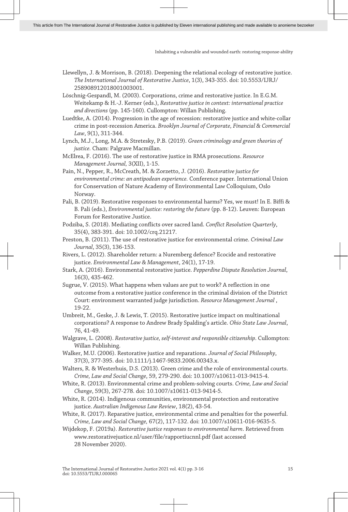- Llewellyn, J. & Morrison, B. (2018). Deepening the relational ecology of restorative justice. *The International Journal of Restorative Justice*, 1(3), 343-355. doi: 10.5553/IJRJ/ 258908912018001003001.
- Löschnig-Gespandl, M. (2003). Corporations, crime and restorative justice. In E.G.M. Weitekamp & H.-J. Kerner (eds.), *Restorative justice in context: international practice and directions* (pp. 145-160). Cullompton: Willan Publishing.
- Luedtke, A. (2014). Progression in the age of recession: restorative justice and white-collar crime in post-recession America. *Brooklyn Journal of Corporate, Financial & Commercial Law*, 9(1), 311-344.
- Lynch, M.J., Long, M.A. & Stretesky, P.B. (2019). *Green criminology and green theories of justice.* Cham: Palgrave Macmillan.
- McElrea, F. (2016). The use of restorative justice in RMA prosecutions. *Resource Management Journal,* 3(XII), 1-15.
- Pain, N., Pepper, R., McCreath, M. & Zorzetto, J. (2016). *Restorative justice for environmental crime: an antipodean experience.* Conference paper. International Union for Conservation of Nature Academy of Environmental Law Colloquium, Oslo Norway.
- Pali, B. (2019). Restorative responses to environmental harms? Yes, we must! In E. Biffi & B. Pali (eds.), *Environmental justice: restoring the future* (pp. 8-12). Leuven: European Forum for Restorative Justice.
- Podziba, S. (2018). Mediating conflicts over sacred land. *Conflict Resolution Quarterly*, 35(4), 383-391. doi: 10.1002/crq.21217.
- Preston, B. (2011). The use of restorative justice for environmental crime. *Criminal Law Journal*, 35(3), 136-153.
- Rivers, L. (2012). Shareholder return: a Nuremberg defence? Ecocide and restorative justice. *Environmental Law & Management*, 24(1), 17-19.
- Stark, A. (2016). Environmental restorative justice. *Pepperdine Dispute Resolution Journal*, 16(3), 435-462.
- Sugrue, V. (2015). What happens when values are put to work? A reflection in one outcome from a restorative justice conference in the criminal division of the District Court: environment warranted judge jurisdiction. *Resource Management Journal* , 19-22.
- Umbreit, M., Geske, J. & Lewis, T. (2015). Restorative justice impact on multinational corporations? A response to Andrew Brady Spalding's article. *Ohio State Law Journal*, 76, 41-49.
- Walgrave, L. (2008). *Restorative justice, self-interest and responsible citizenship*. Cullompton: Willan Publishing.
- Walker, M.U. (2006). Restorative justice and reparations. *Journal of Social Philosophy*, 37(3), 377-395. doi: 10.1111/j.1467-9833.2006.00343.x.
- Walters, R. & Westerhuis, D.S. (2013). Green crime and the role of environmental courts. *Crime, Law and Social Change*, 59, 279-290. doi: 10.1007/s10611-013-9415-4.
- White, R. (2013). Environmental crime and problem-solving courts. *Crime, Law and Social Change*, 59(3), 267-278. doi: 10.1007/s10611-013-9414-5.
- White, R. (2014). Indigenous communities, environmental protection and restorative justice. *Australian Indigenous Law Review*, 18(2), 43-54.
- White, R. (2017). Reparative justice, environmental crime and penalties for the powerful. *Crime, Law and Social Change,* 67(2), 117-132. doi: 10.1007/s10611-016-9635-5.
- Wijdekop, F. (2019a). *Restorative justice responses to environmental harm*. Retrieved from [www.restorativejustice.nl/user/file/rapportiucnnl.pdf](http://http://www.restorativejustice.nl/user/file/rapportiucnnl.pdf) (last accessed 28 November 2020).